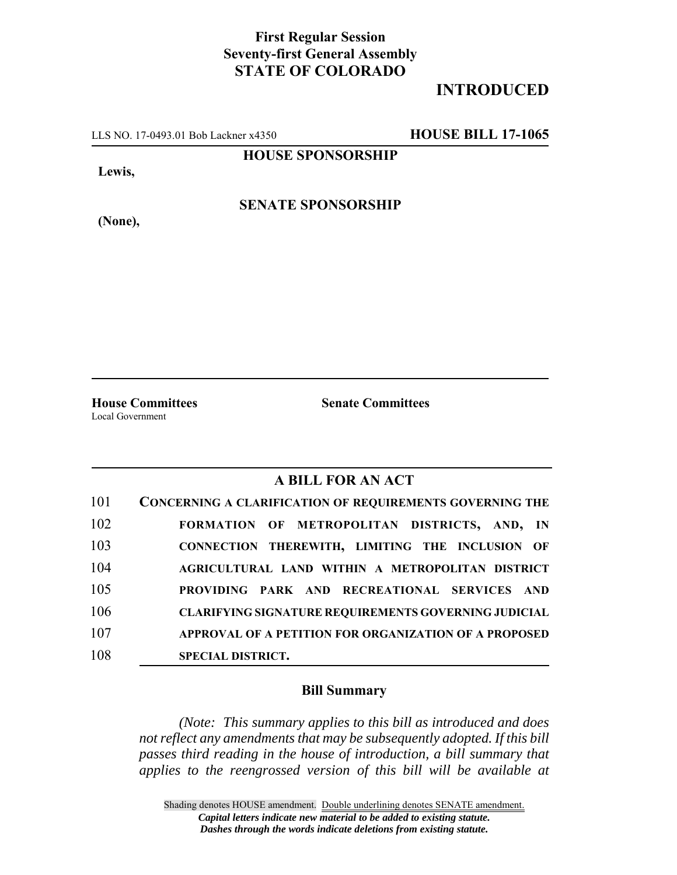## **First Regular Session Seventy-first General Assembly STATE OF COLORADO**

# **INTRODUCED**

LLS NO. 17-0493.01 Bob Lackner x4350 **HOUSE BILL 17-1065**

**HOUSE SPONSORSHIP**

**Lewis,**

**SENATE SPONSORSHIP**

**(None),**

Local Government

**House Committees Senate Committees**

## **A BILL FOR AN ACT**

| 101 | <b>CONCERNING A CLARIFICATION OF REQUIREMENTS GOVERNING THE</b> |
|-----|-----------------------------------------------------------------|
| 102 | FORMATION OF METROPOLITAN DISTRICTS, AND, IN                    |
| 103 | CONNECTION THEREWITH, LIMITING THE INCLUSION OF                 |
| 104 | AGRICULTURAL LAND WITHIN A METROPOLITAN DISTRICT                |
| 105 | PROVIDING PARK AND RECREATIONAL SERVICES AND                    |
| 106 | <b>CLARIFYING SIGNATURE REQUIREMENTS GOVERNING JUDICIAL</b>     |
| 107 | APPROVAL OF A PETITION FOR ORGANIZATION OF A PROPOSED           |
| 108 | <b>SPECIAL DISTRICT.</b>                                        |

### **Bill Summary**

*(Note: This summary applies to this bill as introduced and does not reflect any amendments that may be subsequently adopted. If this bill passes third reading in the house of introduction, a bill summary that applies to the reengrossed version of this bill will be available at*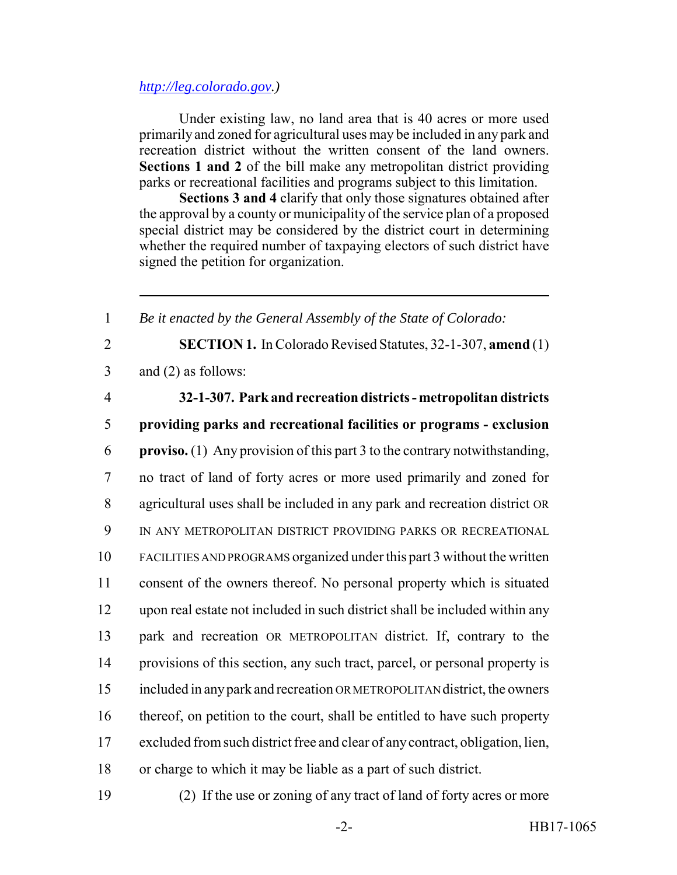### *http://leg.colorado.gov.)*

Under existing law, no land area that is 40 acres or more used primarily and zoned for agricultural uses may be included in any park and recreation district without the written consent of the land owners. **Sections 1 and 2** of the bill make any metropolitan district providing parks or recreational facilities and programs subject to this limitation.

**Sections 3 and 4** clarify that only those signatures obtained after the approval by a county or municipality of the service plan of a proposed special district may be considered by the district court in determining whether the required number of taxpaying electors of such district have signed the petition for organization.

*Be it enacted by the General Assembly of the State of Colorado:*

 **SECTION 1.** In Colorado Revised Statutes, 32-1-307, **amend** (1) and (2) as follows: **32-1-307. Park and recreation districts - metropolitan districts providing parks and recreational facilities or programs - exclusion proviso.** (1) Any provision of this part 3 to the contrary notwithstanding, no tract of land of forty acres or more used primarily and zoned for agricultural uses shall be included in any park and recreation district OR IN ANY METROPOLITAN DISTRICT PROVIDING PARKS OR RECREATIONAL FACILITIES AND PROGRAMS organized under this part 3 without the written consent of the owners thereof. No personal property which is situated upon real estate not included in such district shall be included within any park and recreation OR METROPOLITAN district. If, contrary to the provisions of this section, any such tract, parcel, or personal property is included in any park and recreation OR METROPOLITAN district, the owners thereof, on petition to the court, shall be entitled to have such property excluded from such district free and clear of any contract, obligation, lien, or charge to which it may be liable as a part of such district. (2) If the use or zoning of any tract of land of forty acres or more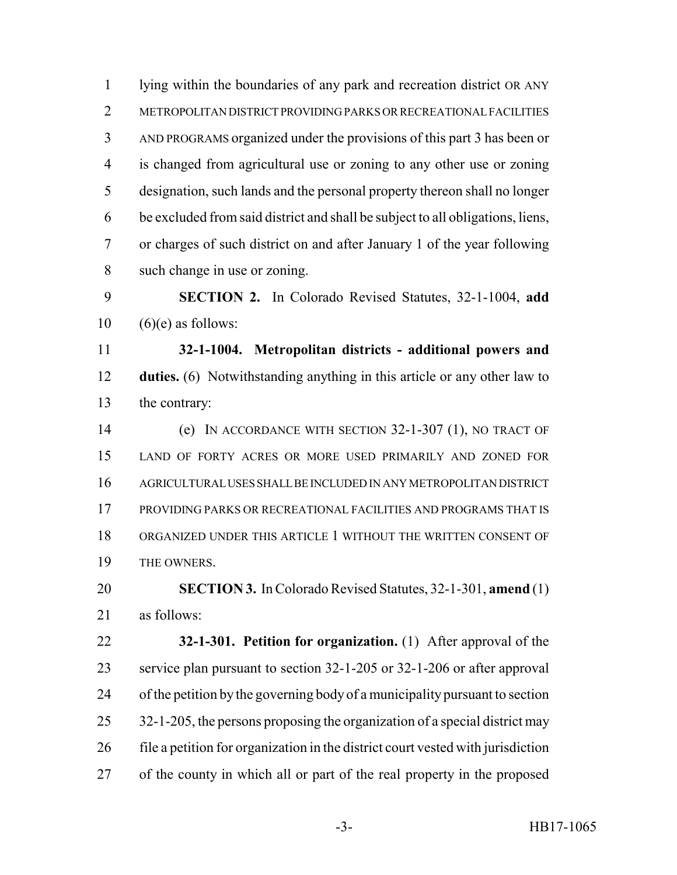lying within the boundaries of any park and recreation district OR ANY METROPOLITAN DISTRICT PROVIDING PARKS OR RECREATIONAL FACILITIES AND PROGRAMS organized under the provisions of this part 3 has been or is changed from agricultural use or zoning to any other use or zoning designation, such lands and the personal property thereon shall no longer be excluded from said district and shall be subject to all obligations, liens, or charges of such district on and after January 1 of the year following such change in use or zoning.

 **SECTION 2.** In Colorado Revised Statutes, 32-1-1004, **add**  $10 \quad (6)(e)$  as follows:

 **32-1-1004. Metropolitan districts - additional powers and duties.** (6) Notwithstanding anything in this article or any other law to the contrary:

 (e) IN ACCORDANCE WITH SECTION 32-1-307 (1), NO TRACT OF LAND OF FORTY ACRES OR MORE USED PRIMARILY AND ZONED FOR AGRICULTURAL USES SHALL BE INCLUDED IN ANY METROPOLITAN DISTRICT PROVIDING PARKS OR RECREATIONAL FACILITIES AND PROGRAMS THAT IS ORGANIZED UNDER THIS ARTICLE 1 WITHOUT THE WRITTEN CONSENT OF THE OWNERS.

 **SECTION 3.** In Colorado Revised Statutes, 32-1-301, **amend** (1) as follows:

 **32-1-301. Petition for organization.** (1) After approval of the service plan pursuant to section 32-1-205 or 32-1-206 or after approval of the petition by the governing body of a municipality pursuant to section 25 32-1-205, the persons proposing the organization of a special district may file a petition for organization in the district court vested with jurisdiction of the county in which all or part of the real property in the proposed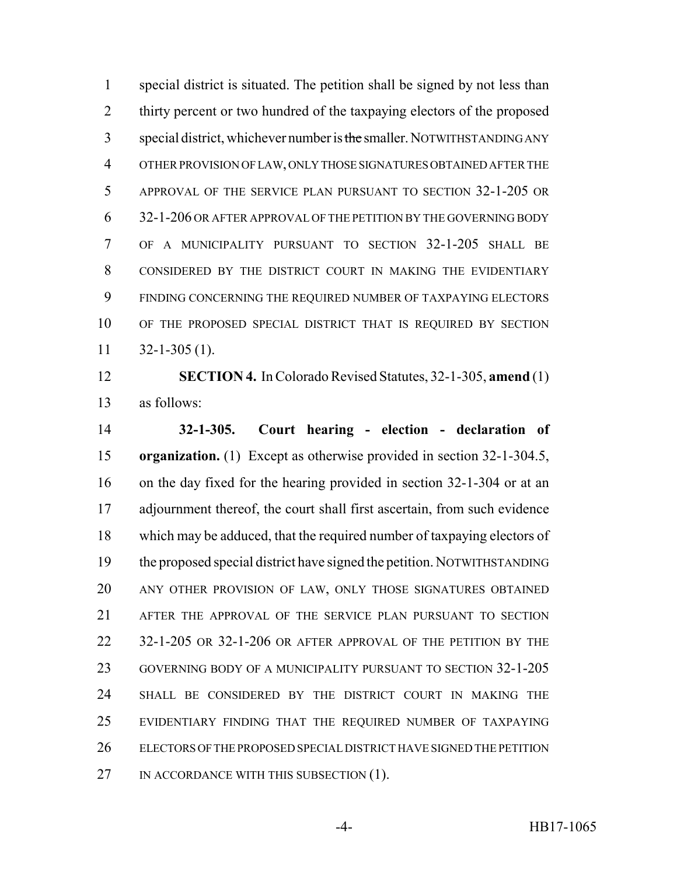special district is situated. The petition shall be signed by not less than thirty percent or two hundred of the taxpaying electors of the proposed 3 special district, whichever number is the smaller. NOTWITHSTANDING ANY OTHER PROVISION OF LAW, ONLY THOSE SIGNATURES OBTAINED AFTER THE 5 APPROVAL OF THE SERVICE PLAN PURSUANT TO SECTION 32-1-205 OR 32-1-206 OR AFTER APPROVAL OF THE PETITION BY THE GOVERNING BODY OF A MUNICIPALITY PURSUANT TO SECTION 32-1-205 SHALL BE CONSIDERED BY THE DISTRICT COURT IN MAKING THE EVIDENTIARY FINDING CONCERNING THE REQUIRED NUMBER OF TAXPAYING ELECTORS OF THE PROPOSED SPECIAL DISTRICT THAT IS REQUIRED BY SECTION  $11 \quad 32 - 1 - 305 \,(1).$ 

 **SECTION 4.** In Colorado Revised Statutes, 32-1-305, **amend** (1) as follows:

 **32-1-305. Court hearing - election - declaration of organization.** (1) Except as otherwise provided in section 32-1-304.5, on the day fixed for the hearing provided in section 32-1-304 or at an adjournment thereof, the court shall first ascertain, from such evidence which may be adduced, that the required number of taxpaying electors of the proposed special district have signed the petition. NOTWITHSTANDING ANY OTHER PROVISION OF LAW, ONLY THOSE SIGNATURES OBTAINED AFTER THE APPROVAL OF THE SERVICE PLAN PURSUANT TO SECTION 32-1-205 OR 32-1-206 OR AFTER APPROVAL OF THE PETITION BY THE GOVERNING BODY OF A MUNICIPALITY PURSUANT TO SECTION 32-1-205 SHALL BE CONSIDERED BY THE DISTRICT COURT IN MAKING THE EVIDENTIARY FINDING THAT THE REQUIRED NUMBER OF TAXPAYING ELECTORS OF THE PROPOSED SPECIAL DISTRICT HAVE SIGNED THE PETITION 27 IN ACCORDANCE WITH THIS SUBSECTION (1).